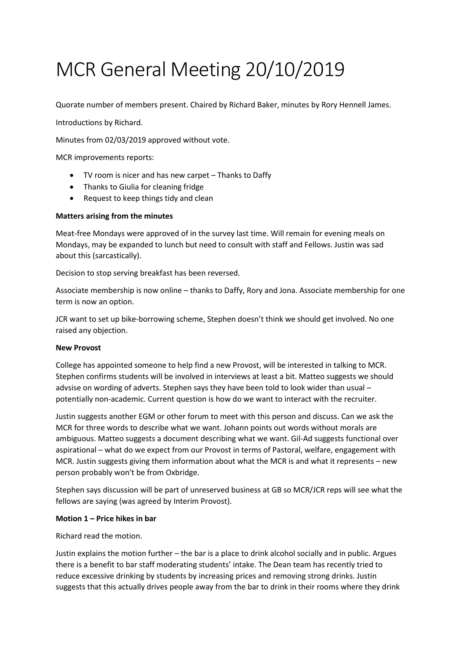# MCR General Meeting 20/10/2019

Quorate number of members present. Chaired by Richard Baker, minutes by Rory Hennell James.

Introductions by Richard.

Minutes from 02/03/2019 approved without vote.

MCR improvements reports:

- TV room is nicer and has new carpet Thanks to Daffy
- Thanks to Giulia for cleaning fridge
- Request to keep things tidy and clean

## **Matters arising from the minutes**

Meat-free Mondays were approved of in the survey last time. Will remain for evening meals on Mondays, may be expanded to lunch but need to consult with staff and Fellows. Justin was sad about this (sarcastically).

Decision to stop serving breakfast has been reversed.

Associate membership is now online – thanks to Daffy, Rory and Jona. Associate membership for one term is now an option.

JCR want to set up bike-borrowing scheme, Stephen doesn't think we should get involved. No one raised any objection.

## **New Provost**

College has appointed someone to help find a new Provost, will be interested in talking to MCR. Stephen confirms students will be involved in interviews at least a bit. Matteo suggests we should advsise on wording of adverts. Stephen says they have been told to look wider than usual – potentially non-academic. Current question is how do we want to interact with the recruiter.

Justin suggests another EGM or other forum to meet with this person and discuss. Can we ask the MCR for three words to describe what we want. Johann points out words without morals are ambiguous. Matteo suggests a document describing what we want. Gil-Ad suggests functional over aspirational – what do we expect from our Provost in terms of Pastoral, welfare, engagement with MCR. Justin suggests giving them information about what the MCR is and what it represents – new person probably won't be from Oxbridge.

Stephen says discussion will be part of unreserved business at GB so MCR/JCR reps will see what the fellows are saying (was agreed by Interim Provost).

## **Motion 1 – Price hikes in bar**

Richard read the motion.

Justin explains the motion further – the bar is a place to drink alcohol socially and in public. Argues there is a benefit to bar staff moderating students' intake. The Dean team has recently tried to reduce excessive drinking by students by increasing prices and removing strong drinks. Justin suggests that this actually drives people away from the bar to drink in their rooms where they drink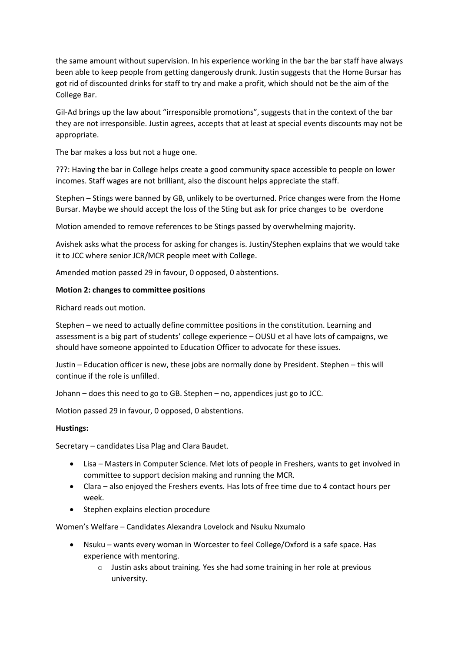the same amount without supervision. In his experience working in the bar the bar staff have always been able to keep people from getting dangerously drunk. Justin suggests that the Home Bursar has got rid of discounted drinks for staff to try and make a profit, which should not be the aim of the College Bar.

Gil-Ad brings up the law about "irresponsible promotions", suggests that in the context of the bar they are not irresponsible. Justin agrees, accepts that at least at special events discounts may not be appropriate.

The bar makes a loss but not a huge one.

???: Having the bar in College helps create a good community space accessible to people on lower incomes. Staff wages are not brilliant, also the discount helps appreciate the staff.

Stephen – Stings were banned by GB, unlikely to be overturned. Price changes were from the Home Bursar. Maybe we should accept the loss of the Sting but ask for price changes to be overdone

Motion amended to remove references to be Stings passed by overwhelming majority.

Avishek asks what the process for asking for changes is. Justin/Stephen explains that we would take it to JCC where senior JCR/MCR people meet with College.

Amended motion passed 29 in favour, 0 opposed, 0 abstentions.

## **Motion 2: changes to committee positions**

Richard reads out motion.

Stephen – we need to actually define committee positions in the constitution. Learning and assessment is a big part of students' college experience – OUSU et al have lots of campaigns, we should have someone appointed to Education Officer to advocate for these issues.

Justin – Education officer is new, these jobs are normally done by President. Stephen – this will continue if the role is unfilled.

Johann – does this need to go to GB. Stephen – no, appendices just go to JCC.

Motion passed 29 in favour, 0 opposed, 0 abstentions.

## **Hustings:**

Secretary – candidates Lisa Plag and Clara Baudet.

- Lisa Masters in Computer Science. Met lots of people in Freshers, wants to get involved in committee to support decision making and running the MCR.
- Clara also enjoyed the Freshers events. Has lots of free time due to 4 contact hours per week.
- Stephen explains election procedure

Women's Welfare – Candidates Alexandra Lovelock and Nsuku Nxumalo

- Nsuku wants every woman in Worcester to feel College/Oxford is a safe space. Has experience with mentoring.
	- o Justin asks about training. Yes she had some training in her role at previous university.